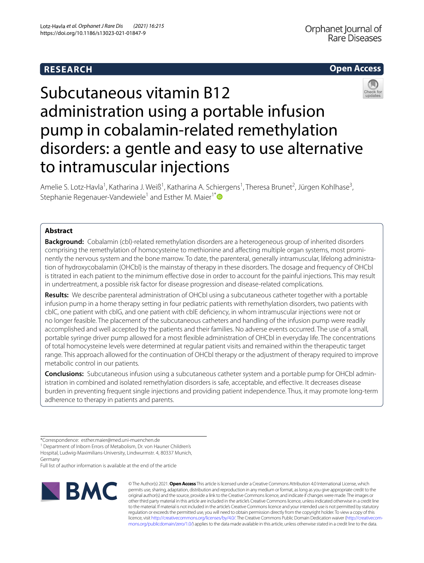# **RESEARCH**

# **Open Access**



# Subcutaneous vitamin B12 administration using a portable infusion pump in cobalamin‑related remethylation disorders: a gentle and easy to use alternative to intramuscular injections

Amelie S. Lotz-Havla<sup>1</sup>, Katharina J. Weiß<sup>1</sup>, Katharina A. Schiergens<sup>1</sup>, Theresa Brunet<sup>2</sup>, Jürgen Kohlhase<sup>3</sup>, Stephanie Regenauer-Vandewiele<sup>1</sup> and Esther M. Maier<sup>1[\\*](http://orcid.org/0000-0002-4954-4901)</sup>

# **Abstract**

**Background:** Cobalamin (cbl)-related remethylation disorders are a heterogeneous group of inherited disorders comprising the remethylation of homocysteine to methionine and affecting multiple organ systems, most prominently the nervous system and the bone marrow. To date, the parenteral, generally intramuscular, lifelong administration of hydroxycobalamin (OHCbl) is the mainstay of therapy in these disorders. The dosage and frequency of OHCbl is titrated in each patient to the minimum efective dose in order to account for the painful injections. This may result in undertreatment, a possible risk factor for disease progression and disease-related complications.

**Results:** We describe parenteral administration of OHCbl using a subcutaneous catheter together with a portable infusion pump in a home therapy setting in four pediatric patients with remethylation disorders, two patients with cblC, one patient with cblG, and one patient with cblE defciency, in whom intramuscular injections were not or no longer feasible. The placement of the subcutaneous catheters and handling of the infusion pump were readily accomplished and well accepted by the patients and their families. No adverse events occurred. The use of a small, portable syringe driver pump allowed for a most fexible administration of OHCbl in everyday life. The concentrations of total homocysteine levels were determined at regular patient visits and remained within the therapeutic target range. This approach allowed for the continuation of OHCbl therapy or the adjustment of therapy required to improve metabolic control in our patients.

**Conclusions:** Subcutaneous infusion using a subcutaneous catheter system and a portable pump for OHCbl administration in combined and isolated remethylation disorders is safe, acceptable, and efective. It decreases disease burden in preventing frequent single injections and providing patient independence. Thus, it may promote long-term adherence to therapy in patients and parents.

<sup>1</sup> Department of Inborn Errors of Metabolism, Dr. von Hauner Children's Hospital, Ludwig-Maximilians-University, Lindwurmstr. 4, 80337 Munich, Germany

Full list of author information is available at the end of the article



© The Author(s) 2021. **Open Access** This article is licensed under a Creative Commons Attribution 4.0 International License, which permits use, sharing, adaptation, distribution and reproduction in any medium or format, as long as you give appropriate credit to the original author(s) and the source, provide a link to the Creative Commons licence, and indicate if changes were made. The images or other third party material in this article are included in the article's Creative Commons licence, unless indicated otherwise in a credit line to the material. If material is not included in the article's Creative Commons licence and your intended use is not permitted by statutory regulation or exceeds the permitted use, you will need to obtain permission directly from the copyright holder. To view a copy of this licence, visit [http://creativecommons.org/licenses/by/4.0/.](http://creativecommons.org/licenses/by/4.0/) The Creative Commons Public Domain Dedication waiver (http://creativecom[mons.org/publicdomain/zero/1.0/\)](http://creativecommons.org/publicdomain/zero/1.0/) applies to the data made available in this article, unless otherwise stated in a credit line to the data.

<sup>\*</sup>Correspondence: esther.maier@med.uni-muenchen.de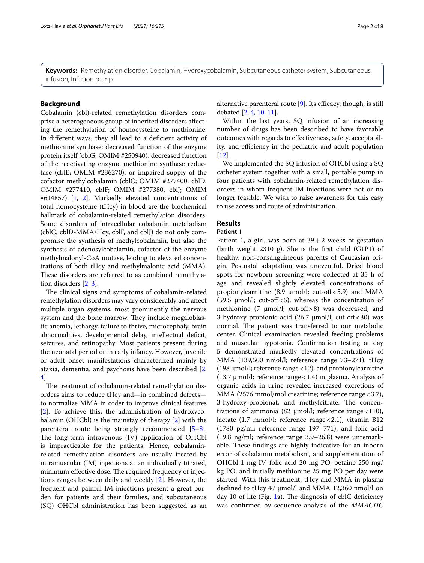**Keywords:** Remethylation disorder, Cobalamin, Hydroxycobalamin, Subcutaneous catheter system, Subcutaneous infusion, Infusion pump

# **Background**

Cobalamin (cbl)-related remethylation disorders comprise a heterogeneous group of inherited disorders afecting the remethylation of homocysteine to methionine. In different ways, they all lead to a deficient activity of methionine synthase: decreased function of the enzyme protein itself (cblG; OMIM #250940), decreased function of the reactivating enzyme methionine synthase reductase (cblE; OMIM #236270), or impaired supply of the cofactor methylcobalamin (cblC; OMIM #277400, cblD; OMIM #277410, cblF; OMIM #277380, cblJ; OMIM #614857) [\[1](#page-6-0), [2\]](#page-6-1). Markedly elevated concentrations of total homocysteine (tHcy) in blood are the biochemical hallmark of cobalamin-related remethylation disorders. Some disorders of intracellular cobalamin metabolism (cblC, cblD-MMA/Hcy, cblF, and cblJ) do not only compromise the synthesis of methylcobalamin, but also the synthesis of adenosylcobalamin, cofactor of the enzyme methylmalonyl-CoA mutase, leading to elevated concentrations of both tHcy and methylmalonic acid (MMA). These disorders are referred to as combined remethylation disorders [[2,](#page-6-1) [3](#page-6-2)].

The clinical signs and symptoms of cobalamin-related remethylation disorders may vary considerably and afect multiple organ systems, most prominently the nervous system and the bone marrow. They include megaloblastic anemia, lethargy, failure to thrive, microcephaly, brain abnormalities, developmental delay, intellectual defcit, seizures, and retinopathy. Most patients present during the neonatal period or in early infancy. However, juvenile or adult onset manifestations characterized mainly by ataxia, dementia, and psychosis have been described [\[2](#page-6-1), [4\]](#page-6-3).

The treatment of cobalamin-related remethylation disorders aims to reduce tHcy and—in combined defects to normalize MMA in order to improve clinical features [[2\]](#page-6-1). To achieve this, the administration of hydroxycobalamin (OHCbl) is the mainstay of therapy [\[2](#page-6-1)] with the parenteral route being strongly recommended [\[5](#page-6-4)[–8](#page-6-5)]. The long-term intravenous (IV) application of OHCbl is impracticable for the patients. Hence, cobalaminrelated remethylation disorders are usually treated by intramuscular (IM) injections at an individually titrated, minimum effective dose. The required frequency of injections ranges between daily and weekly [\[2](#page-6-1)]. However, the frequent and painful IM injections present a great burden for patients and their families, and subcutaneous (SQ) OHCbl administration has been suggested as an alternative parenteral route [\[9](#page-6-6)]. Its efficacy, though, is still debated [[2](#page-6-1), [4,](#page-6-3) [10](#page-6-7), [11\]](#page-6-8).

Within the last years, SQ infusion of an increasing number of drugs has been described to have favorable outcomes with regards to efectiveness, safety, acceptability, and efficiency in the pediatric and adult population [[12\]](#page-6-9).

We implemented the SQ infusion of OHCbl using a SQ catheter system together with a small, portable pump in four patients with cobalamin-related remethylation disorders in whom frequent IM injections were not or no longer feasible. We wish to raise awareness for this easy to use access and route of administration.

# **Results**

# **Patient 1**

Patient 1, a girl, was born at  $39+2$  weeks of gestation (birth weight 2310 g). She is the first child  $(G1P1)$  of healthy, non-consanguineous parents of Caucasian origin. Postnatal adaptation was uneventful. Dried blood spots for newborn screening were collected at 35 h of age and revealed slightly elevated concentrations of propionylcarnitine (8.9  $\mu$ mol/l; cut-off < 5.9) and MMA (59.5  $\mu$ mol/l; cut-off < 5), whereas the concentration of methionine  $(7 \text{ }\mu\text{mol/l}; \text{ cut-off} > 8)$  was decreased, and 3-hydroxy-propionic acid (26.7 µmol/l; cut-off<30) was normal. The patient was transferred to our metabolic center. Clinical examination revealed feeding problems and muscular hypotonia. Confrmation testing at day 5 demonstrated markedly elevated concentrations of MMA (139,500 nmol/l; reference range 73–271), tHcy (198 µmol/l; reference range<12), and propionylcarnitine (13.7  $\mu$ mol/l; reference range < 1.4) in plasma. Analysis of organic acids in urine revealed increased excretions of MMA (2576 mmol/mol creatinine; reference range < 3.7), 3-hydroxy-propionat, and methylcitrate. The concentrations of ammonia (82  $\mu$ mol/l; reference range < 110), lactate  $(1.7 \text{ mmol/l};$  reference range $< 2.1$ ), vitamin B12 (1780 pg/ml; reference range 197–771), and folic acid (19.8 ng/ml; reference range 3.9–26.8) were unremarkable. These findings are highly indicative for an inborn error of cobalamin metabolism, and supplementation of OHCbl 1 mg IV, folic acid 20 mg PO, betaine 250 mg/ kg PO, and initially methionine 25 mg PO per day were started. With this treatment, tHcy and MMA in plasma declined to tHcy 47 µmol/l and MMA 12,360 nmol/l on day 10 of life (Fig. [1a](#page-2-0)). The diagnosis of cblC deficiency was confrmed by sequence analysis of the *MMACHC*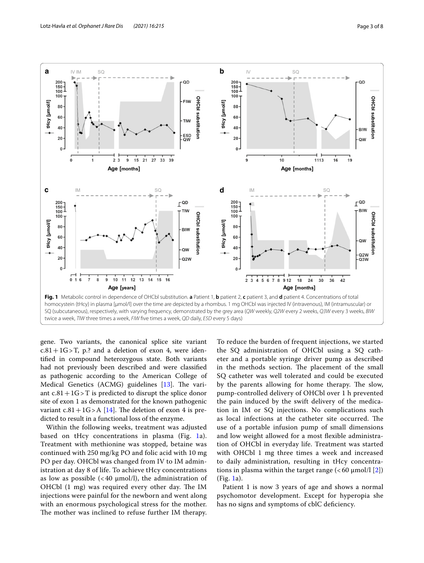

<span id="page-2-0"></span>gene. Two variants, the canonical splice site variant  $c.81+1G>T$ , p.? and a deletion of exon 4, were identifed in compound heterozygous state. Both variants had not previously been described and were classifed as pathogenic according to the American College of Medical Genetics (ACMG) guidelines  $[13]$  $[13]$ . The variant  $c.81+1G>T$  is predicted to disrupt the splice donor site of exon 1 as demonstrated for the known pathogenic variant  $c.81+1G>A$  [[14](#page-6-11)]. The deletion of exon 4 is predicted to result in a functional loss of the enzyme.

Within the following weeks, treatment was adjusted based on tHcy concentrations in plasma (Fig. [1](#page-2-0)a). Treatment with methionine was stopped, betaine was continued with 250 mg/kg PO and folic acid with 10 mg PO per day. OHCbl was changed from IV to IM administration at day 8 of life. To achieve tHcy concentrations as low as possible  $\left($  < 40  $\mu$ mol/l), the administration of OHCbl  $(1 \text{ mg})$  was required every other day. The IM injections were painful for the newborn and went along with an enormous psychological stress for the mother. The mother was inclined to refuse further IM therapy.

To reduce the burden of frequent injections, we started the SQ administration of OHCbl using a SQ catheter and a portable syringe driver pump as described in the methods section. The placement of the small SQ catheter was well tolerated and could be executed by the parents allowing for home therapy. The slow, pump-controlled delivery of OHCbl over 1 h prevented the pain induced by the swift delivery of the medication in IM or SQ injections. No complications such as local infections at the catheter site occurred. The use of a portable infusion pump of small dimensions and low weight allowed for a most fexible administration of OHCbl in everyday life. Treatment was started with OHCbl 1 mg three times a week and increased to daily administration, resulting in tHcy concentrations in plasma within the target range  $\left( < 60 \text{ }\mu\text{mol}/l \text{ } [2] \right)$  $\left( < 60 \text{ }\mu\text{mol}/l \text{ } [2] \right)$  $\left( < 60 \text{ }\mu\text{mol}/l \text{ } [2] \right)$ (Fig. [1a](#page-2-0)).

Patient 1 is now 3 years of age and shows a normal psychomotor development. Except for hyperopia she has no signs and symptoms of cblC deficiency.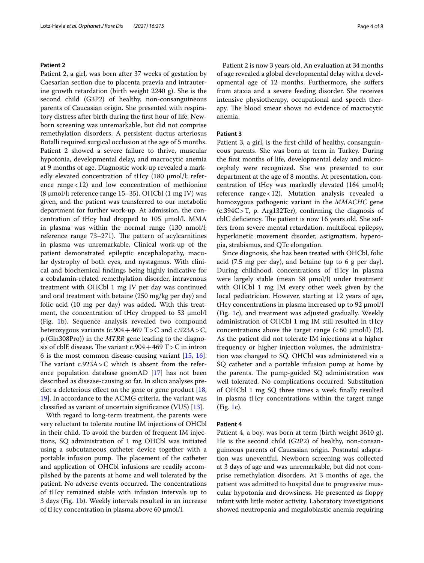#### **Patient 2**

Patient 2, a girl, was born after 37 weeks of gestation by Caesarian section due to placenta praevia and intrauterine growth retardation (birth weight 2240 g). She is the second child (G3P2) of healthy, non-consanguineous parents of Caucasian origin. She presented with respiratory distress after birth during the frst hour of life. Newborn screening was unremarkable, but did not comprise remethylation disorders. A persistent ductus arteriosus Botalli required surgical occlusion at the age of 5 months. Patient 2 showed a severe failure to thrive, muscular hypotonia, developmental delay, and macrocytic anemia at 9 months of age. Diagnostic work-up revealed a markedly elevated concentration of tHcy  $(180 \mu mol/l;$  reference range $<$ 12) and low concentration of methionine (8 µmol/l; reference range 15–35). OHCbl (1 mg IV) was given, and the patient was transferred to our metabolic department for further work-up. At admission, the concentration of tHcy had dropped to  $105 \mu$ mol/l. MMA in plasma was within the normal range (130 nmol/l; reference range 73-271). The pattern of acylcarnitines in plasma was unremarkable. Clinical work-up of the patient demonstrated epileptic encephalopathy, macular dystrophy of both eyes, and nystagmus. With clinical and biochemical fndings being highly indicative for a cobalamin-related remethylation disorder, intravenous treatment with OHCbl 1 mg IV per day was continued and oral treatment with betaine (250 mg/kg per day) and folic acid (10 mg per day) was added. With this treatment, the concentration of tHcy dropped to 53  $\mu$ mol/l (Fig. [1b](#page-2-0)). Sequence analysis revealed two compound heterozygous variants (c.904+469 T>C and c.923A>C, p.(Gln308Pro)) in the *MTRR* gene leading to the diagnosis of cblE disease. The variant c.904 + 469 T > C in intron 6 is the most common disease-causing variant [[15](#page-6-12), [16](#page-6-13)]. The variant  $c.923A > C$  which is absent from the reference population database gnomAD [[17\]](#page-6-14) has not been described as disease-causing so far. In silico analyses predict a deleterious effect on the gene or gene product  $[18, 18]$  $[18, 18]$ [19\]](#page-6-16). In accordance to the ACMG criteria, the variant was classifed as variant of uncertain signifcance (VUS) [\[13](#page-6-10)].

With regard to long-term treatment, the parents were very reluctant to tolerate routine IM injections of OHCbl in their child. To avoid the burden of frequent IM injections, SQ administration of 1 mg OHCbl was initiated using a subcutaneous catheter device together with a portable infusion pump. The placement of the catheter and application of OHCbl infusions are readily accomplished by the parents at home and well tolerated by the patient. No adverse events occurred. The concentrations of tHcy remained stable with infusion intervals up to 3 days (Fig. [1b](#page-2-0)). Weekly intervals resulted in an increase of tHcy concentration in plasma above 60  $\mu$ mol/l.

Patient 2 is now 3 years old. An evaluation at 34 months of age revealed a global developmental delay with a developmental age of 12 months. Furthermore, she sufers from ataxia and a severe feeding disorder. She receives intensive physiotherapy, occupational and speech therapy. The blood smear shows no evidence of macrocytic anemia.

#### **Patient 3**

Patient 3, a girl, is the frst child of healthy, consanguineous parents. She was born at term in Turkey. During the frst months of life, developmental delay and microcephaly were recognized. She was presented to our department at the age of 8 months. At presentation, concentration of tHcy was markedly elevated  $(164 \mu mol/l;$ reference range<12). Mutation analysis revealed a homozygous pathogenic variant in the *MMACHC* gene (c.394C>T, p. Arg132Ter), confrming the diagnosis of cblC deficiency. The patient is now 16 years old. She suffers from severe mental retardation, multifocal epilepsy, hyperkinetic movement disorder, astigmatism, hyperopia, strabismus, and QTc elongation.

Since diagnosis, she has been treated with OHCbl, folic acid (7.5 mg per day), and betaine (up to 6 g per day). During childhood, concentrations of tHcy in plasma were largely stable (mean 58  $\mu$ mol/l) under treatment with OHCbl 1 mg IM every other week given by the local pediatrician. However, starting at 12 years of age, tHcy concentrations in plasma increased up to 92 µmol/l (Fig. [1](#page-2-0)c), and treatment was adjusted gradually. Weekly administration of OHCbl 1 mg IM still resulted in tHcy concentrations above the target range  $(<60 \text{ }\mu\text{mol/l})$  [\[2](#page-6-1)]. As the patient did not tolerate IM injections at a higher frequency or higher injection volumes, the administration was changed to SQ. OHCbl was administered via a SQ catheter and a portable infusion pump at home by the parents. The pump-guided  $SQ$  administration was well tolerated. No complications occurred. Substitution of OHCbl 1 mg SQ three times a week fnally resulted in plasma tHcy concentrations within the target range (Fig. [1c](#page-2-0)).

# **Patient 4**

Patient 4, a boy, was born at term (birth weight 3610 g). He is the second child (G2P2) of healthy, non-consanguineous parents of Caucasian origin. Postnatal adaptation was uneventful. Newborn screening was collected at 3 days of age and was unremarkable, but did not comprise remethylation disorders. At 3 months of age, the patient was admitted to hospital due to progressive muscular hypotonia and drowsiness. He presented as foppy infant with little motor activity. Laboratory investigations showed neutropenia and megaloblastic anemia requiring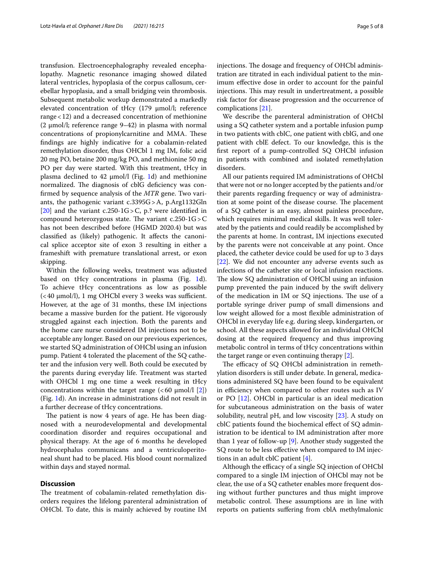transfusion. Electroencephalography revealed encephalopathy. Magnetic resonance imaging showed dilated lateral ventricles, hypoplasia of the corpus callosum, cerebellar hypoplasia, and a small bridging vein thrombosis. Subsequent metabolic workup demonstrated a markedly elevated concentration of tHcy (179 µmol/l; reference range<12) and a decreased concentration of methionine (2  $\mu$ mol/l; reference range 9–42) in plasma with normal concentrations of propionylcarnitine and MMA. These fndings are highly indicative for a cobalamin-related remethylation disorder, thus OHCbl 1 mg IM, folic acid 20 mg PO, betaine 200 mg/kg PO, and methionine 50 mg PO per day were started. With this treatment, tHcy in plasma declined to 42  $\mu$ mol/l (Fig. [1](#page-2-0)d) and methionine normalized. The diagnosis of cblG deficiency was confrmed by sequence analysis of the *MTR* gene. Two variants, the pathogenic variant c.3395G>A, p.Arg1132Gln [[20\]](#page-6-17) and the variant c.250-1G > C, p.? were identified in compound heterozygous state. The variant  $c.250-1G>C$ has not been described before (HGMD 2020.4) but was classifed as (likely) pathogenic. It afects the canonical splice acceptor site of exon 3 resulting in either a frameshift with premature translational arrest, or exon skipping.

Within the following weeks, treatment was adjusted based on tHcy concentrations in plasma (Fig. [1d](#page-2-0)). To achieve tHcy concentrations as low as possible  $\left($  < 40  $\mu$ mol/l), 1 mg OHCbl every 3 weeks was sufficient. However, at the age of 31 months, these IM injections became a massive burden for the patient. He vigorously struggled against each injection. Both the parents and the home care nurse considered IM injections not to be acceptable any longer. Based on our previous experiences, we started SQ administration of OHCbl using an infusion pump. Patient 4 tolerated the placement of the SQ catheter and the infusion very well. Both could be executed by the parents during everyday life. Treatment was started with OHCbl 1 mg one time a week resulting in tHcy concentrations within the target range  $\left( < 60 \ \mu \text{mol}/l \ [2] \right)$  $\left( < 60 \ \mu \text{mol}/l \ [2] \right)$  $\left( < 60 \ \mu \text{mol}/l \ [2] \right)$ (Fig. [1](#page-2-0)d). An increase in administrations did not result in a further decrease of tHcy concentrations.

The patient is now 4 years of age. He has been diagnosed with a neurodevelopmental and developmental coordination disorder and requires occupational and physical therapy. At the age of 6 months he developed hydrocephalus communicans and a ventriculoperitoneal shunt had to be placed. His blood count normalized within days and stayed normal.

#### **Discussion**

The treatment of cobalamin-related remethylation disorders requires the lifelong parenteral administration of OHCbl. To date, this is mainly achieved by routine IM injections. The dosage and frequency of OHCbl administration are titrated in each individual patient to the minimum efective dose in order to account for the painful injections. This may result in undertreatment, a possible risk factor for disease progression and the occurrence of complications [[21](#page-6-18)].

We describe the parenteral administration of OHCbl using a SQ catheter system and a portable infusion pump in two patients with cblC, one patient with cblG, and one patient with cblE defect. To our knowledge, this is the frst report of a pump-controlled SQ OHCbl infusion in patients with combined and isolated remethylation disorders.

All our patients required IM administrations of OHCbl that were not or no longer accepted by the patients and/or their parents regarding frequency or way of administration at some point of the disease course. The placement of a SQ catheter is an easy, almost painless procedure, which requires minimal medical skills. It was well tolerated by the patients and could readily be accomplished by the parents at home. In contrast, IM injections executed by the parents were not conceivable at any point. Once placed, the catheter device could be used for up to 3 days [[22\]](#page-6-19). We did not encounter any adverse events such as infections of the catheter site or local infusion reactions. The slow SQ administration of OHCbl using an infusion pump prevented the pain induced by the swift delivery of the medication in IM or SQ injections. The use of a portable syringe driver pump of small dimensions and low weight allowed for a most fexible administration of OHCbl in everyday life e.g. during sleep, kindergarten, or school. All these aspects allowed for an individual OHCbl dosing at the required frequency and thus improving metabolic control in terms of tHcy concentrations within the target range or even continuing therapy [[2\]](#page-6-1).

The efficacy of SQ OHCbl administration in remethylation disorders is still under debate. In general, medications administered SQ have been found to be equivalent in efficiency when compared to other routes such as IV or PO [[12](#page-6-9)]. OHCbl in particular is an ideal medication for subcutaneous administration on the basis of water solubility, neutral pH, and low viscosity [[23](#page-6-20)]. A study on cblC patients found the biochemical efect of SQ administration to be identical to IM administration after more than 1 year of follow-up [[9\]](#page-6-6). Another study suggested the SQ route to be less efective when compared to IM injections in an adult cblC patient [\[4](#page-6-3)].

Although the efficacy of a single SQ injection of OHCbl compared to a single IM injection of OHCbl may not be clear, the use of a SQ catheter enables more frequent dosing without further punctures and thus might improve metabolic control. These assumptions are in line with reports on patients sufering from cblA methylmalonic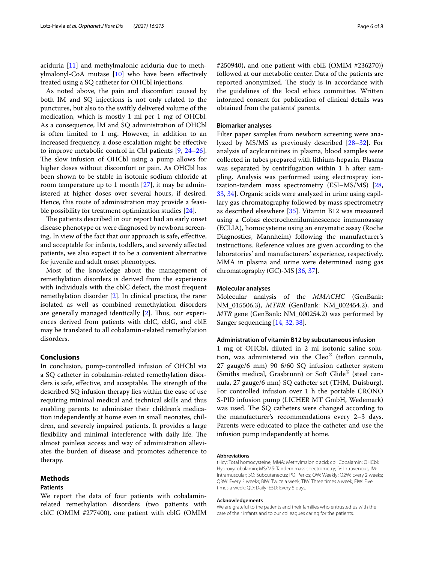aciduria [[11\]](#page-6-8) and methylmalonic aciduria due to methylmalonyl-CoA mutase [\[10](#page-6-7)] who have been efectively treated using a SQ catheter for OHCbl injections.

As noted above, the pain and discomfort caused by both IM and SQ injections is not only related to the punctures, but also to the swiftly delivered volume of the medication, which is mostly 1 ml per 1 mg of OHCbl. As a consequence, IM and SQ administration of OHCbl is often limited to 1 mg. However, in addition to an increased frequency, a dose escalation might be efective to improve metabolic control in Cbl patients [\[9](#page-6-6), [24](#page-6-21)[–26](#page-6-22)]. The slow infusion of OHCbl using a pump allows for higher doses without discomfort or pain. As OHCbl has been shown to be stable in isotonic sodium chloride at room temperature up to 1 month  $[27]$  $[27]$ , it may be administered at higher doses over several hours, if desired. Hence, this route of administration may provide a feasible possibility for treatment optimization studies [[24\]](#page-6-21).

The patients described in our report had an early onset disease phenotype or were diagnosed by newborn screening. In view of the fact that our approach is safe, efective, and acceptable for infants, toddlers, and severely afected patients, we also expect it to be a convenient alternative for juvenile and adult onset phenotypes.

Most of the knowledge about the management of remethylation disorders is derived from the experience with individuals with the cblC defect, the most frequent remethylation disorder [[2\]](#page-6-1). In clinical practice, the rarer isolated as well as combined remethylation disorders are generally managed identically  $[2]$  $[2]$ . Thus, our experiences derived from patients with cblC, cblG, and cblE may be translated to all cobalamin-related remethylation disorders.

# **Conclusions**

In conclusion, pump-controlled infusion of OHCbl via a SQ catheter in cobalamin-related remethylation disorders is safe, effective, and acceptable. The strength of the described SQ infusion therapy lies within the ease of use requiring minimal medical and technical skills and thus enabling parents to administer their children's medication independently at home even in small neonates, children, and severely impaired patients. It provides a large flexibility and minimal interference with daily life. The almost painless access and way of administration alleviates the burden of disease and promotes adherence to therapy.

# **Methods**

#### **Patients**

We report the data of four patients with cobalaminrelated remethylation disorders (two patients with cblC (OMIM #277400), one patient with cblG (OMIM

#250940), and one patient with cblE (OMIM #236270)) followed at our metabolic center. Data of the patients are reported anonymized. The study is in accordance with the guidelines of the local ethics committee. Written informed consent for publication of clinical details was obtained from the patients' parents.

# **Biomarker analyses**

Filter paper samples from newborn screening were analyzed by MS/MS as previously described [\[28](#page-6-24)–[32\]](#page-7-0). For analysis of acylcarnitines in plasma, blood samples were collected in tubes prepared with lithium-heparin. Plasma was separated by centrifugation within 1 h after sampling. Analysis was performed using electrospray ionization-tandem mass spectrometry (ESI–MS/MS) [[28](#page-6-24), [33,](#page-7-1) [34](#page-7-2)]. Organic acids were analyzed in urine using capillary gas chromatography followed by mass spectrometry as described elsewhere [\[35\]](#page-7-3). Vitamin B12 was measured using a Cobas electrochemiluminescence immunoassay (ECLIA), homocysteine using an enzymatic assay (Roche Diagnostics, Mannheim) following the manufacturer's instructions. Reference values are given according to the laboratories' and manufacturers' experience, respectively. MMA in plasma and urine were determined using gas chromatography (GC)-MS [[36,](#page-7-4) [37\]](#page-7-5).

# **Molecular analyses**

Molecular analysis of the *MMACHC* (GenBank: NM\_015506.3), *MTRR* (GenBank: NM\_002454.2), and *MTR* gene (GenBank: NM\_000254.2) was performed by Sanger sequencing [[14](#page-6-11), [32,](#page-7-0) [38](#page-7-6)].

#### **Administration of vitamin B12 by subcutaneous infusion**

1 mg of OHCbl, diluted in 2 ml isotonic saline solution, was administered via the Cleo® (teflon cannula, 27 gauge/6 mm) 90 6/60 SQ infusion catheter system (Smiths medical, Grasbrunn) or Soft Glide® (steel cannula, 27 gauge/6 mm) SQ catheter set (THM, Duisburg). For controlled infusion over 1 h the portable CRONO S-PID infusion pump (LICHER MT GmbH, Wedemark) was used. The SQ catheters were changed according to the manufacturer's recommendations every 2–3 days. Parents were educated to place the catheter and use the infusion pump independently at home.

#### **Abbreviations**

tHcy: Total homocysteine; MMA: Methylmalonic acid; cbl: Cobalamin; OHCbl: Hydroxycobalamin; MS/MS: Tandem mass spectrometry; IV: Intravenous; IM: Intramuscular; SQ: Subcutaneous; PO: Per os; QW: Weekly; Q2W: Every 2 weeks; Q3W: Every 3 weeks; BIW: Twice a week; TIW: Three times a week; FIW: Five times a week; QD: Daily; E5D: Every 5 days.

#### **Acknowledgements**

We are grateful to the patients and their families who entrusted us with the care of their infants and to our colleagues caring for the patients.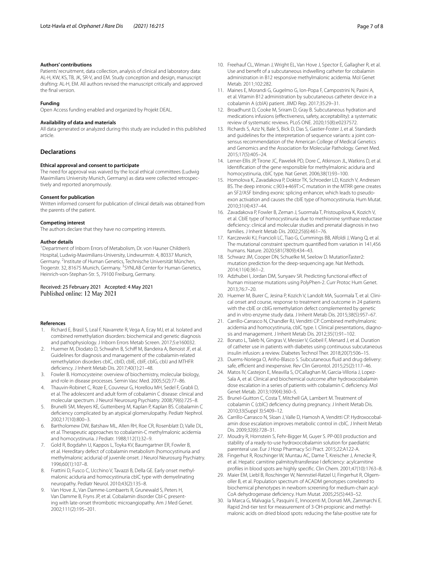#### **Authors' contributions**

Patients' recruitment, data collection, analysis of clinical and laboratory data: AL-H, KW, KS, TB, JK, SR-V, and EM. Study conception and design, manuscript drafting: AL-H, EM. All authors revised the manuscript critically and approved the fnal version.

#### **Funding**

Open Access funding enabled and organized by Projekt DEAL.

#### **Availability of data and materials**

All data generated or analyzed during this study are included in this published article.

#### **Declarations**

#### **Ethical approval and consent to participate**

The need for approval was waived by the local ethical committees (Ludwig Maximilians University Munich, Germany) as data were collected retrospec‑ tively and reported anonymously.

#### **Consent for publication**

Written informed consent for publication of clinical details was obtained from the parents of the patient.

#### **Competing interest**

The authors declare that they have no competing interests.

#### **Author details**

<sup>1</sup> Department of Inborn Errors of Metabolism, Dr. von Hauner Children's Hospital, Ludwig-Maximilians-University, Lindwurmstr. 4, 80337 Munich, Germany. <sup>2</sup>Institute of Human Genetics, Technische Universität München, Trogerstr. 32, 81675 Munich, Germany. <sup>3</sup>SYNLAB Center for Human Genetics, Heinrich‑von‑Stephan‑Str. 5, 79100 Freiburg, Germany.

#### Received: 25 February 2021 Accepted: 4 May 2021 Published online: 12 May 2021

#### **References**

- <span id="page-6-0"></span>Richard E, Brasil S, Leal F, Navarrete R, Vega A, Ecay MJ, et al. Isolated and combined remethylation disorders: biochemical and genetic diagnosis and pathophysiology. J Inborn Errors Metab Screen. 2017;5:e160032.
- <span id="page-6-1"></span>Huemer M, Diodato D, Schwahn B, Schiff M, Bandeira A, Benoist JF, et al. Guidelines for diagnosis and management of the cobalamin-related remethylation disorders cblC, cblD, cblE, cblF, cblG, cblJ and MTHFR defciency. J Inherit Metab Dis. 2017;40(1):21–48.
- <span id="page-6-2"></span>3. Fowler B. Homocysteine: overview of biochemistry, molecular biology, and role in disease processes. Semin Vasc Med. 2005;5(2):77–86.
- <span id="page-6-3"></span>4. Thauvin-Robinet C, Roze E, Couvreur G, Horellou MH, Sedel F, Grabli D, et al. The adolescent and adult form of cobalamin C disease: clinical and molecular spectrum. J Neurol Neurosurg Psychiatry. 2008;79(6):725–8.
- <span id="page-6-4"></span>5. Brunelli SM, Meyers KE, Guttenberg M, Kaplan P, Kaplan BS. Cobalamin C defciency complicated by an atypical glomerulopathy. Pediatr Nephrol. 2002;17(10):800–3.
- 6. Bartholomew DW, Batshaw ML, Allen RH, Roe CR, Rosenblatt D, Valle DL, et al. Therapeutic approaches to cobalamin-C methylmalonic acidemia and homocystinuria. J Pediatr. 1988;112(1):32–9.
- 7. Gold R, Bogdahn U, Kappos L, Toyka KV, Baumgartner ER, Fowler B, et al. Hereditary defect of cobalamin metabolism (homocystinuria and methylmalonic aciduria) of juvenile onset. J Neurol Neurosurg Psychiatry. 1996;60(1):107–8.
- <span id="page-6-5"></span>8. Frattini D, Fusco C, Ucchino V, Tavazzi B, Della GE. Early onset methylmalonic aciduria and homocystinuria cblC type with demyelinating neuropathy. Pediatr Neurol. 2010;43(2):135–8.
- <span id="page-6-6"></span>9. Van Hove JL, Van Damme-Lombaerts R, Grunewald S, Peters H, Van Damme B, Fryns JP, et al. Cobalamin disorder Cbl-C presenting with late-onset thrombotic microangiopathy. Am J Med Genet. 2002;111(2):195–201.
- <span id="page-6-7"></span>10. Freehauf CL, Wiman J, Wright EL, Van Hove J, Spector E, Gallagher R, et al. Use and beneft of a subcutaneous indwelling catheter for cobalamin administration in B12 responsive methylmalonic acidemia. Mol Genet Metab. 2011;102:282.
- <span id="page-6-8"></span>11. Maines E, Morandi G, Gugelmo G, Ion-Popa F, Campostrini N, Pasini A, et al. Vitamin B12 administration by subcutaneous catheter device in a cobalamin A (cblA) patient. JIMD Rep. 2017;35:29–31.
- <span id="page-6-9"></span>12. Broadhurst D, Cooke M, Sriram D, Gray B. Subcutaneous hydration and medications infusions (efectiveness, safety, acceptability): a systematic review of systematic reviews. PLoS ONE. 2020;15(8):e0237572.
- <span id="page-6-10"></span>13. Richards S, Aziz N, Bale S, Bick D, Das S, Gastier-Foster J, et al. Standards and quidelines for the interpretation of sequence variants: a joint consensus recommendation of the American College of Medical Genetics and Genomics and the Association for Molecular Pathology. Genet Med. 2015;17(5):405–24.
- <span id="page-6-11"></span>14. Lerner-Ellis JP, Tirone JC, Pawelek PD, Dore C, Atkinson JL, Watkins D, et al. Identifcation of the gene responsible for methylmalonic aciduria and homocystinuria, cblC type. Nat Genet. 2006;38(1):93–100.
- <span id="page-6-12"></span>15. Homolova K, Zavadakova P, Doktor TK, Schroeder LD, Kozich V, Andresen BS. The deep intronic c.903+469T>C mutation in the MTRR gene creates an SF2/ASF binding exonic splicing enhancer, which leads to pseudoexon activation and causes the cblE type of homocystinuria. Hum Mutat. 2010;31(4):437–44.
- <span id="page-6-13"></span>16. Zavadakova P, Fowler B, Zeman J, Suormala T, Pristoupilova K, Kozich V, et al. CblE type of homocystinuria due to methionine synthase reductase defciency: clinical and molecular studies and prenatal diagnosis in two families. J Inherit Metab Dis. 2002;25(6):461–76.
- <span id="page-6-14"></span>17. Karczewski KJ, Francioli LC, Tiao G, Cummings BB, Alfoldi J, Wang Q, et al. The mutational constraint spectrum quantifed from variation in 141,456 humans. Nature. 2020;581(7809):434–43.
- <span id="page-6-15"></span>18. Schwarz JM, Cooper DN, Schuelke M, Seelow D. MutationTaster2: mutation prediction for the deep-sequencing age. Nat Methods. 2014;11(4):361–2.
- <span id="page-6-16"></span>19. Adzhubei I, Jordan DM, Sunyaev SR. Predicting functional efect of human missense mutations using PolyPhen-2. Curr Protoc Hum Genet. 2013;76:7–20.
- <span id="page-6-17"></span>20. Huemer M, Burer C, Jesina P, Kozich V, Landolt MA, Suormala T, et al. Clinical onset and course, response to treatment and outcome in 24 patients with the cblE or cblG remethylation defect complemented by genetic and in vitro enzyme study data. J Inherit Metab Dis. 2015;38(5):957–67.
- <span id="page-6-18"></span>21. Carrillo-Carrasco N, Chandler RJ, Venditti CP. Combined methylmalonic acidemia and homocystinuria, cblC type. I. Clinical presentations, diagnosis and management. J Inherit Metab Dis. 2012;35(1):91–102.
- <span id="page-6-19"></span>22. Bonato L, Taleb N, Gingras V, Messier V, Gobeil F, Menard J, et al. Duration of catheter use in patients with diabetes using continuous subcutaneous insulin infusion: a review. Diabetes Technol Ther. 2018;20(7):506–15.
- <span id="page-6-20"></span>23. Duems-Noriega O, Ariño-Blasco S. Subcutaneous fuid and drug delivery: safe, efficient and inexpensive. Rev Clin Gerontol. 2015;25(2):117-46.
- <span id="page-6-21"></span>24. Matos IV, Castejon E, Meavilla S, O'Callaghan M, Garcia-Villoria J, Lopez-Sala A, et al. Clinical and biochemical outcome after hydroxocobalamin dose escalation in a series of patients with cobalamin C defciency. Mol Genet Metab. 2013;109(4):360–5.
- 25. Brunel-Guitton C, Costa T, Mitchell GA, Lambert M. Treatment of cobalamin C (cblC) defciency during pregnancy. J Inherit Metab Dis. 2010;33(Suppl 3):S409–12.
- <span id="page-6-22"></span>26. Carrillo-Carrasco N, Sloan J, Valle D, Hamosh A, Venditti CP. Hydroxocobalamin dose escalation improves metabolic control in cblC. J Inherit Metab Dis. 2009;32(6):728–31.
- <span id="page-6-23"></span>27. Moudry R, Hornstein S, Fehr-Bigger M, Guyer S. PP-003 production and stability of a ready-to-use hydroxocobalamin solution for paediatric parenteral use. Eur J Hosp Pharmacy Sci Pract. 2015;22:A122-A.
- <span id="page-6-24"></span>28. Fingerhut R, Roschinger W, Muntau AC, Dame T, Kreischer J, Arnecke R, et al. Hepatic carnitine palmitoyltransferase I defciency: acylcarnitine profles in blood spots are highly specifc. Clin Chem. 2001;47(10):1763–8.
- 29. Maier EM, Liebl B, Roschinger W, Nennstiel-Ratzel U, Fingerhut R, Olgemoller B, et al. Population spectrum of ACADM genotypes correlated to biochemical phenotypes in newborn screening for medium-chain acyl-CoA dehydrogenase defciency. Hum Mutat. 2005;25(5):443–52.
- 30. la Marca G, Malvagia S, Pasquini E, Innocenti M, Donati MA, Zammarchi E. Rapid 2nd-tier test for measurement of 3-OH-propionic and methylmalonic acids on dried blood spots: reducing the false-positive rate for